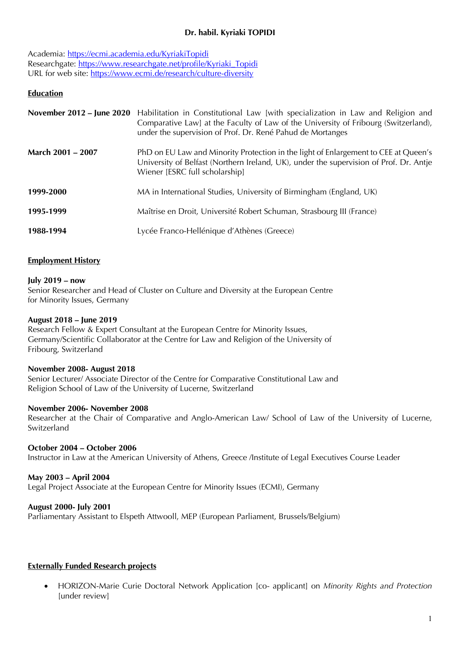# **Dr. habil. Kyriaki TOPIDI**

Academia: https://ecmi.academia.edu/KyriakiTopidi Researchgate: https://www.researchgate.net/profile/Kyriaki\_Topidi URL for web site: https://www.ecmi.de/research/culture-diversity

# **Education**

|                   | November 2012 – June 2020 Habilitation in Constitutional Law [with specialization in Law and Religion and<br>Comparative Law] at the Faculty of Law of the University of Fribourg (Switzerland),<br>under the supervision of Prof. Dr. René Pahud de Mortanges |
|-------------------|----------------------------------------------------------------------------------------------------------------------------------------------------------------------------------------------------------------------------------------------------------------|
| March 2001 - 2007 | PhD on EU Law and Minority Protection in the light of Enlargement to CEE at Queen's<br>University of Belfast (Northern Ireland, UK), under the supervision of Prof. Dr. Antje<br>Wiener [ESRC full scholarship]                                                |
| 1999-2000         | MA in International Studies, University of Birmingham (England, UK)                                                                                                                                                                                            |
| 1995-1999         | Maîtrise en Droit, Université Robert Schuman, Strasbourg III (France)                                                                                                                                                                                          |
| 1988-1994         | Lycée Franco-Hellénique d'Athènes (Greece)                                                                                                                                                                                                                     |

### **Employment History**

#### **July 2019 – now**

Senior Researcher and Head of Cluster on Culture and Diversity at the European Centre for Minority Issues, Germany

#### **August 2018 – June 2019**

Research Fellow & Expert Consultant at the European Centre for Minority Issues, Germany/Scientific Collaborator at the Centre for Law and Religion of the University of Fribourg, Switzerland

#### **November 2008- August 2018**

Senior Lecturer/ Associate Director of the Centre for Comparative Constitutional Law and Religion School of Law of the University of Lucerne, Switzerland

#### **November 2006- November 2008**

Researcher at the Chair of Comparative and Anglo-American Law/ School of Law of the University of Lucerne, Switzerland

### **October 2004 – October 2006**

Instructor in Law at the American University of Athens, Greece /Institute of Legal Executives Course Leader

### **May 2003 – April 2004**

Legal Project Associate at the European Centre for Minority Issues (ECMI), Germany

### **August 2000- July 2001**

Parliamentary Assistant to Elspeth Attwooll, MEP (European Parliament, Brussels/Belgium)

### **Externally Funded Research projects**

• HORIZON-Marie Curie Doctoral Network Application [co- applicant] on *Minority Rights and Protection* [under review]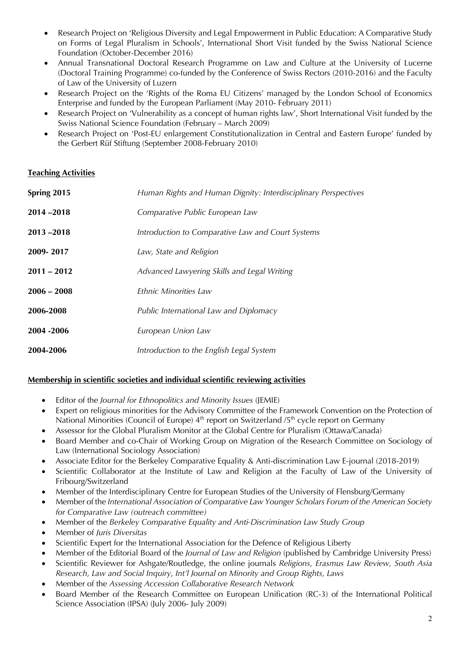- Research Project on 'Religious Diversity and Legal Empowerment in Public Education: A Comparative Study on Forms of Legal Pluralism in Schools', International Short Visit funded by the Swiss National Science Foundation (October-December 2016)
- Annual Transnational Doctoral Research Programme on Law and Culture at the University of Lucerne (Doctoral Training Programme) co-funded by the Conference of Swiss Rectors (2010-2016) and the Faculty of Law of the University of Luzern
- Research Project on the 'Rights of the Roma EU Citizens' managed by the London School of Economics Enterprise and funded by the European Parliament (May 2010- February 2011)
- Research Project on 'Vulnerability as a concept of human rights law'. Short International Visit funded by the Swiss National Science Foundation (February – March 2009)
- Research Project on 'Post-EU enlargement Constitutionalization in Central and Eastern Europe' funded by the Gerbert Rüf Stiftung (September 2008-February 2010)

### **Teaching Activities**

| Human Rights and Human Dignity: Interdisciplinary Perspectives |
|----------------------------------------------------------------|
| Comparative Public European Law                                |
| Introduction to Comparative Law and Court Systems              |
| Law, State and Religion                                        |
| Advanced Lawyering Skills and Legal Writing                    |
| <i>Ethnic Minorities Law</i>                                   |
| Public International Law and Diplomacy                         |
| European Union Law                                             |
| Introduction to the English Legal System                       |
|                                                                |

# **Membership in scientific societies and individual scientific reviewing activities**

- Editor of the *Journal for Ethnopolitics and Minority Issues* (JEMIE)
- Expert on religious minorities for the Advisory Committee of the Framework Convention on the Protection of National Minorities (Council of Europe)  $4<sup>th</sup>$  report on Switzerland /5<sup>th</sup> cycle report on Germany
- Assessor for the Global Pluralism Monitor at the Global Centre for Pluralism (Ottawa/Canada)
- Board Member and co-Chair of Working Group on Migration of the Research Committee on Sociology of Law (International Sociology Association)
- Associate Editor for the Berkeley Comparative Equality & Anti-discrimination Law E-journal (2018-2019)
- Scientific Collaborator at the Institute of Law and Religion at the Faculty of Law of the University of Fribourg/Switzerland
- Member of the Interdisciplinary Centre for European Studies of the University of Flensburg/Germany
- Member of the *International Association of Comparative Law Younger Scholars Forum of the American Society for Comparative Law (outreach committee)*
- Member of the *Berkeley Comparative Equality and Anti-Discrimination Law Study Group*
- Member of *Juris Diversitas*
- Scientific Expert for the International Association for the Defence of Religious Liberty
- Member of the Editorial Board of the *Journal of Law and Religion* (published by Cambridge University Press)
- Scientific Reviewer for Ashgate/Routledge, the online journals *Religions, Erasmus Law Review, South Asia Research, Law and Social Inquiry, Int'l Journal on Minority and Group Rights, Laws*
- Member of the *Assessing Accession Collaborative Research Network*
- Board Member of the Research Committee on European Unification (RC-3) of the International Political Science Association (IPSA) (July 2006- July 2009)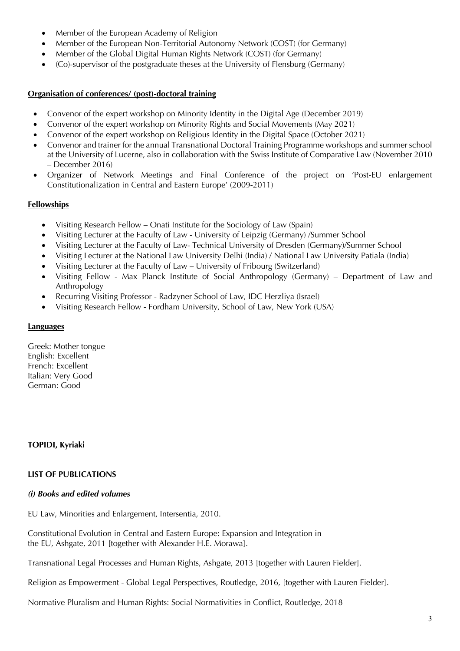- Member of the European Academy of Religion
- Member of the European Non-Territorial Autonomy Network (COST) (for Germany)
- Member of the Global Digital Human Rights Network (COST) (for Germany)
- (Co)-supervisor of the postgraduate theses at the University of Flensburg (Germany)

### **Organisation of conferences/ (post)-doctoral training**

- Convenor of the expert workshop on Minority Identity in the Digital Age (December 2019)
- Convenor of the expert workshop on Minority Rights and Social Movements (May 2021)
- Convenor of the expert workshop on Religious Identity in the Digital Space (October 2021)
- Convenor and trainer for the annual Transnational Doctoral Training Programme workshops and summer school at the University of Lucerne, also in collaboration with the Swiss Institute of Comparative Law (November 2010 – December 2016)
- Organizer of Network Meetings and Final Conference of the project on 'Post-EU enlargement Constitutionalization in Central and Eastern Europe' (2009-2011)

# **Fellowships**

- Visiting Research Fellow Onati Institute for the Sociology of Law (Spain)
- Visiting Lecturer at the Faculty of Law University of Leipzig (Germany) /Summer School
- Visiting Lecturer at the Faculty of Law- Technical University of Dresden (Germany)/Summer School
- Visiting Lecturer at the National Law University Delhi (India) / National Law University Patiala (India)
- Visiting Lecturer at the Faculty of Law University of Fribourg (Switzerland)
- Visiting Fellow Max Planck Institute of Social Anthropology (Germany) Department of Law and Anthropology
- Recurring Visiting Professor Radzyner School of Law, IDC Herzliya (Israel)
- Visiting Research Fellow Fordham University, School of Law, New York (USA)

### **Languages**

Greek: Mother tongue English: Excellent French: Excellent Italian: Very Good German: Good

# **TOPIDI, Kyriaki**

### **LIST OF PUBLICATIONS**

### *(i) Books and edited volumes*

EU Law, Minorities and Enlargement, Intersentia, 2010.

Constitutional Evolution in Central and Eastern Europe: Expansion and Integration in the EU, Ashgate, 2011 [together with Alexander H.E. Morawa].

Transnational Legal Processes and Human Rights, Ashgate, 2013 [together with Lauren Fielder].

Religion as Empowerment - Global Legal Perspectives, Routledge, 2016, [together with Lauren Fielder].

Normative Pluralism and Human Rights: Social Normativities in Conflict, Routledge, 2018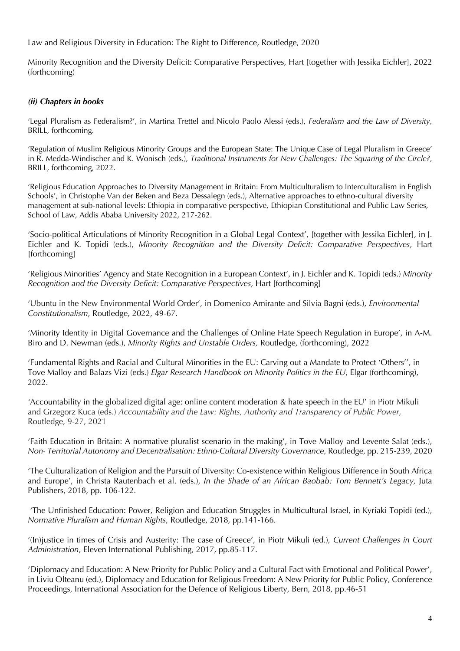Law and Religious Diversity in Education: The Right to Difference, Routledge, 2020

Minority Recognition and the Diversity Deficit: Comparative Perspectives, Hart [together with Jessika Eichler], 2022 (forthcoming)

### *(ii) Chapters in books*

'Legal Pluralism as Federalism?', in Martina Trettel and Nicolo Paolo Alessi (eds.), *Federalism and the Law of Diversity,*  BRILL, forthcoming.

'Regulation of Muslim Religious Minority Groups and the European State: The Unique Case of Legal Pluralism in Greece' in R. Medda-Windischer and K. Wonisch (eds.), *Traditional Instruments for New Challenges: The Squaring of the Circle?*, BRILL, forthcoming, 2022.

'Religious Education Approaches to Diversity Management in Britain: From Multiculturalism to Interculturalism in English Schools', in Christophe Van der Beken and Beza Dessalegn (eds.), Alternative approaches to ethno-cultural diversity management at sub-national levels: Ethiopia in comparative perspective, Ethiopian Constitutional and Public Law Series, School of Law, Addis Ababa University 2022, 217-262.

'Socio-political Articulations of Minority Recognition in a Global Legal Context', [together with Jessika Eichler], in J. Eichler and K. Topidi (eds.), *Minority Recognition and the Diversity Deficit: Comparative Perspectives*, Hart [forthcoming]

'Religious Minorities' Agency and State Recognition in a European Context', in J. Eichler and K. Topidi (eds.) *Minority Recognition and the Diversity Deficit: Comparative Perspectives*, Hart [forthcoming]

'Ubuntu in the New Environmental World Order', in Domenico Amirante and Silvia Bagni (eds.), *Environmental Constitutionalism*, Routledge, 2022, 49-67.

'Minority Identity in Digital Governance and the Challenges of Online Hate Speech Regulation in Europe', in A-M. Biro and D. Newman (eds.), *Minority Rights and Unstable Orders,* Routledge, (forthcoming), 2022

'Fundamental Rights and Racial and Cultural Minorities in the EU: Carving out a Mandate to Protect 'Others'', in Tove Malloy and Balazs Vizi (eds.) *Elgar Research Handbook on Minority Politics in the EU*, Elgar (forthcoming), 2022.

*'*Accountability in the globalized digital age: online content moderation & hate speech in the EU' in Piotr Mikuli and Grzegorz Kuca (eds.) *Accountability and the Law: Rights, Authority and Transparency of Public Power*, Routledge, 9-27, 2021

'Faith Education in Britain: A normative pluralist scenario in the making', in Tove Malloy and Levente Salat (eds.), *Non- Territorial Autonomy and Decentralisation: Ethno-Cultural Diversity Governance,* Routledge, pp. 215-239, 2020

'The Culturalization of Religion and the Pursuit of Diversity: Co-existence within Religious Difference in South Africa and Europe', in Christa Rautenbach et al. (eds.), *In the Shade of an African Baobab: Tom Bennett's Legacy,* Juta Publishers, 2018, pp. 106-122.

'The Unfinished Education: Power, Religion and Education Struggles in Multicultural Israel, in Kyriaki Topidi (ed.), *Normative Pluralism and Human Rights*, Routledge, 2018, pp.141-166.

'(In)justice in times of Crisis and Austerity: The case of Greece', in Piotr Mikuli (ed.), *Current Challenges in Court Administration*, Eleven International Publishing, 2017, pp.85-117.

'Diplomacy and Education: A New Priority for Public Policy and a Cultural Fact with Emotional and Political Power', in Liviu Olteanu (ed.), Diplomacy and Education for Religious Freedom: A New Priority for Public Policy, Conference Proceedings, International Association for the Defence of Religious Liberty, Bern, 2018, pp.46-51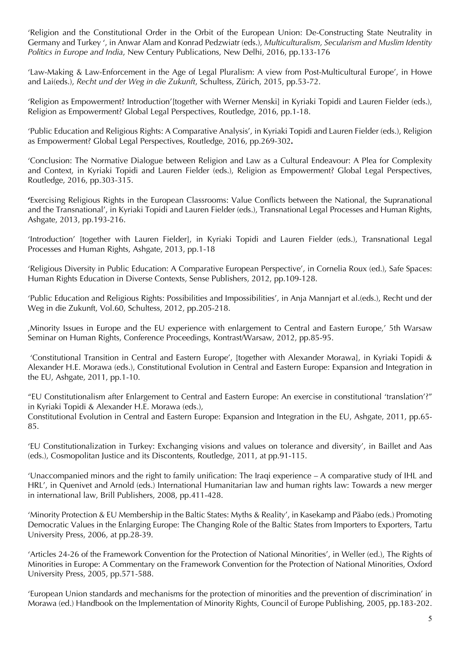'Religion and the Constitutional Order in the Orbit of the European Union: De-Constructing State Neutrality in Germany and Turkey ', in Anwar Alam and Konrad Pedzwiatr (eds.), *Multiculturalism, Secularism and Muslim Identity Politics in Europe and India*, New Century Publications, New Delhi, 2016, pp.133-176

'Law-Making & Law-Enforcement in the Age of Legal Pluralism: A view from Post-Multicultural Europe', in Howe and Lai(eds.), *Recht und der Weg in die Zukunft*, Schultess, Zürich, 2015, pp.53-72.

'Religion as Empowerment? Introduction'[together with Werner Menski] in Kyriaki Topidi and Lauren Fielder (eds.), Religion as Empowerment? Global Legal Perspectives, Routledge, 2016, pp.1-18.

'Public Education and Religious Rights: A Comparative Analysis', in Kyriaki Topidi and Lauren Fielder (eds.), Religion as Empowerment? Global Legal Perspectives, Routledge, 2016, pp.269-302**.**

'Conclusion: The Normative Dialogue between Religion and Law as a Cultural Endeavour: A Plea for Complexity and Context, in Kyriaki Topidi and Lauren Fielder (eds.), Religion as Empowerment? Global Legal Perspectives, Routledge, 2016, pp.303-315.

**'**Exercising Religious Rights in the European Classrooms: Value Conflicts between the National, the Supranational and the Transnational', in Kyriaki Topidi and Lauren Fielder (eds.), Transnational Legal Processes and Human Rights, Ashgate, 2013, pp.193-216.

'Introduction' [together with Lauren Fielder], in Kyriaki Topidi and Lauren Fielder (eds.), Transnational Legal Processes and Human Rights, Ashgate, 2013, pp.1-18

'Religious Diversity in Public Education: A Comparative European Perspective', in Cornelia Roux (ed.), Safe Spaces: Human Rights Education in Diverse Contexts, Sense Publishers, 2012, pp.109-128.

'Public Education and Religious Rights: Possibilities and Impossibilities', in Anja Mannjart et al.(eds.), Recht und der Weg in die Zukunft, Vol.60, Schultess, 2012, pp.205-218.

'Minority Issues in Europe and the EU experience with enlargement to Central and Eastern Europe,' 5th Warsaw Seminar on Human Rights, Conference Proceedings, Kontrast/Warsaw, 2012, pp.85-95.

'Constitutional Transition in Central and Eastern Europe', [together with Alexander Morawa], in Kyriaki Topidi & Alexander H.E. Morawa (eds.), Constitutional Evolution in Central and Eastern Europe: Expansion and Integration in the EU, Ashgate, 2011, pp.1-10.

"EU Constitutionalism after Enlargement to Central and Eastern Europe: An exercise in constitutional 'translation'?" in Kyriaki Topidi & Alexander H.E. Morawa (eds.),

Constitutional Evolution in Central and Eastern Europe: Expansion and Integration in the EU, Ashgate, 2011, pp.65- 85.

'EU Constitutionalization in Turkey: Exchanging visions and values on tolerance and diversity', in Baillet and Aas (eds.), Cosmopolitan Justice and its Discontents, Routledge, 2011, at pp.91-115.

'Unaccompanied minors and the right to family unification: The Iraqi experience – A comparative study of IHL and HRL', in Quenivet and Arnold (eds.) International Humanitarian law and human rights law: Towards a new merger in international law, Brill Publishers, 2008, pp.411-428.

'Minority Protection & EU Membership in the Baltic States: Myths & Reality', in Kasekamp and Päabo (eds.) Promoting Democratic Values in the Enlarging Europe: The Changing Role of the Baltic States from Importers to Exporters, Tartu University Press, 2006, at pp.28-39.

'Articles 24-26 of the Framework Convention for the Protection of National Minorities', in Weller (ed.), The Rights of Minorities in Europe: A Commentary on the Framework Convention for the Protection of National Minorities, Oxford University Press, 2005, pp.571-588.

'European Union standards and mechanisms for the protection of minorities and the prevention of discrimination' in Morawa (ed.) Handbook on the Implementation of Minority Rights, Council of Europe Publishing, 2005, pp.183-202.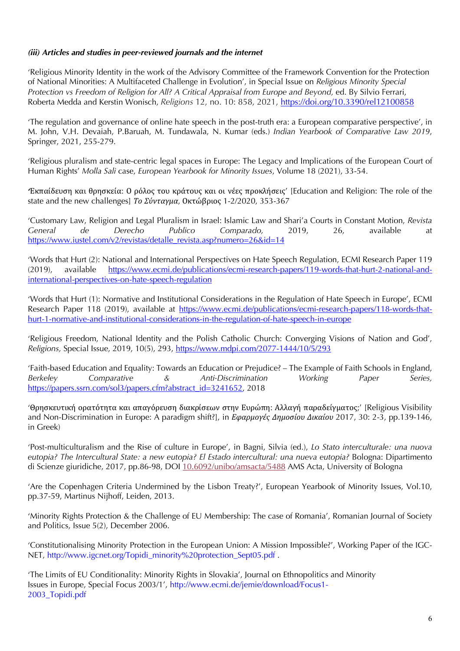### *(iii) Articles and studies in peer-reviewed journals and the internet*

'Religious Minority Identity in the work of the Advisory Committee of the Framework Convention for the Protection of National Minorities: A Multifaceted Challenge in Evolution', in Special Issue on *Religious Minority Special*  Protection vs Freedom of Religion for All? A Critical Appraisal from Europe and Beyond, ed. By Silvio Ferrari, Roberta Medda and Kerstin Wonisch, *Religions* 12, no. 10: 858, 2021, https://doi.org/10.3390/rel12100858

'The regulation and governance of online hate speech in the post-truth era: a European comparative perspective', in M. John, V.H. Devaiah, P.Baruah, M. Tundawala, N. Kumar (eds.) *Indian Yearbook of Comparative Law 2019*, Springer, 2021, 255-279.

'Religious pluralism and state-centric legal spaces in Europe: The Legacy and Implications of the European Court of Human Rights' *Molla Sali* case, *European Yearbook for Minority Issues*, Volume 18 (2021), 33-54.

*'*Εκπαίδευση και θρησκεία: Ο ρόλος του κράτους και οι νέες προκλήσεις' [Education and Religion: The role of the state and the new challenges] *Το Σύνταγμα*, Οκτώβριος 1-2/2020, 353-367

'Customary Law, Religion and Legal Pluralism in Israel: Islamic Law and Shari'a Courts in Constant Motion, *Revista General de Derecho Publico Comparado,* 2019, 26, available at https://www.iustel.com/v2/revistas/detalle\_revista.asp?numero=26&id=14

'Words that Hurt (2): National and International Perspectives on Hate Speech Regulation, ECMI Research Paper 119 (2019), available https://www.ecmi.de/publications/ecmi-research-papers/119-words-that-hurt-2-national-andinternational-perspectives-on-hate-speech-regulation

'Words that Hurt (1): Normative and Institutional Considerations in the Regulation of Hate Speech in Europe', ECMI Research Paper 118 (2019), available at https://www.ecmi.de/publications/ecmi-research-papers/118-words-thathurt-1-normative-and-institutional-considerations-in-the-regulation-of-hate-speech-in-europe

'Religious Freedom, National Identity and the Polish Catholic Church: Converging Visions of Nation and God', *Religions,* Special Issue, 2019, 10(5), 293, https://www.mdpi.com/2077-1444/10/5/293

'Faith-based Education and Equality: Towards an Education or Prejudice? – The Example of Faith Schools in England, *Berkeley Comparative & Anti-Discrimination Working Paper Series,*  https://papers.ssrn.com/sol3/papers.cfm?abstract\_id=3241652, 2018

'Θρησκευτική ορατότητα και απαγόρευση διακρίσεων στην Ευρώπη: Αλλαγή παραδείγματος;' [Religious Visibility and Non-Discrimination in Europe: A paradigm shift?], in *Εφαρμογές Δημοσίου Δικαίου* 2017, 30: 2-3, pp.139-146, in Greek)

'Post-multiculturalism and the Rise of culture in Europe', in Bagni, Silvia (ed.), *Lo Stato interculturale: una nuova eutopia? The Intercultural State: a new eutopia? El Estado intercultural: una nueva eutopia?* Bologna: Dipartimento di Scienze giuridiche, 2017, pp.86-98, DOI 10.6092/unibo/amsacta/5488 AMS Acta, University of Bologna

'Are the Copenhagen Criteria Undermined by the Lisbon Treaty?', European Yearbook of Minority Issues, Vol.10, pp.37-59, Martinus Nijhoff, Leiden, 2013.

'Minority Rights Protection & the Challenge of EU Membership: The case of Romania', Romanian Journal of Society and Politics, Issue 5(2), December 2006.

'Constitutionalising Minority Protection in the European Union: A Mission Impossible?', Working Paper of the IGC-NET, http://www.igcnet.org/Topidi\_minority%20protection\_Sept05.pdf.

'The Limits of EU Conditionality: Minority Rights in Slovakia', Journal on Ethnopolitics and Minority Issues in Europe, Special Focus 2003/1', http://www.ecmi.de/jemie/download/Focus1- 2003\_Topidi.pdf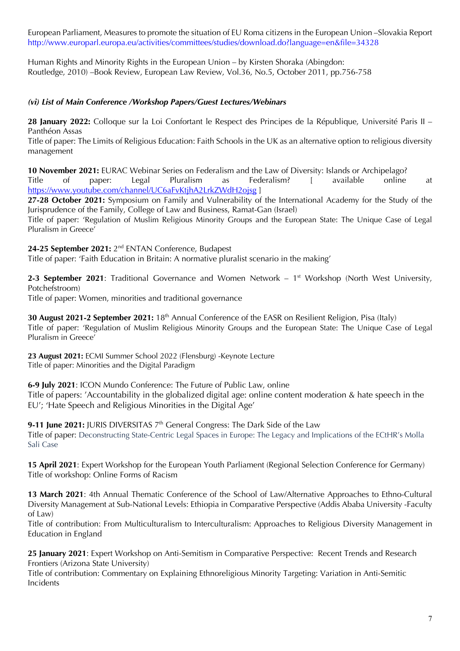European Parliament, Measures to promote the situation of EU Roma citizens in the European Union –Slovakia Report http://www.europarl.europa.eu/activities/committees/studies/download.do?language=en&file=34328

Human Rights and Minority Rights in the European Union – by Kirsten Shoraka (Abingdon: Routledge, 2010) –Book Review, European Law Review, Vol.36, No.5, October 2011, pp.756-758

### *(vi) List of Main Conference /Workshop Papers/Guest Lectures/Webinars*

**28 January 2022:** Colloque sur la Loi Confortant le Respect des Principes de la République, Université Paris II – Panthéon Assas

Title of paper: The Limits of Religious Education: Faith Schools in the UK as an alternative option to religious diversity management

**10 November 2021:** EURAC Webinar Series on Federalism and the Law of Diversity: Islands or Archipelago? Title of paper: Legal Pluralism as Federalism? [ available online at https://www.youtube.com/channel/UC6aFvKtjhA2LrkZWdH2ojsg ]

**27-28 October 2021:** Symposium on Family and Vulnerability of the International Academy for the Study of the Jurisprudence of the Family, College of Law and Business, Ramat-Gan (Israel)

Title of paper: 'Regulation of Muslim Religious Minority Groups and the European State: The Unique Case of Legal Pluralism in Greece'

**24-25 September 2021:** 2nd ENTAN Conference, Budapest

Title of paper: 'Faith Education in Britain: A normative pluralist scenario in the making'

2-3 September 2021: Traditional Governance and Women Network – 1<sup>st</sup> Workshop (North West University, Potchefstroom)

Title of paper: Women, minorities and traditional governance

**30 August 2021-2 September 2021:** 18<sup>th</sup> Annual Conference of the EASR on Resilient Religion, Pisa (Italy) Title of paper: 'Regulation of Muslim Religious Minority Groups and the European State: The Unique Case of Legal Pluralism in Greece'

**23 August 2021:** ECMI Summer School 2022 (Flensburg) -Keynote Lecture Title of paper: Minorities and the Digital Paradigm

**6-9 July 2021**: ICON Mundo Conference: The Future of Public Law, online Title of papers: 'Accountability in the globalized digital age: online content moderation & hate speech in the EU'; 'Hate Speech and Religious Minorities in the Digital Age'

**9-11 June 2021:** JURIS DIVERSITAS 7<sup>th</sup> General Congress: The Dark Side of the Law Title of paper: Deconstructing State-Centric Legal Spaces in Europe: The Legacy and Implications of the ECtHR's Molla Sali Case

**15 April 2021**: Expert Workshop for the European Youth Parliament (Regional Selection Conference for Germany) Title of workshop: Online Forms of Racism

**13 March 2021**: 4th Annual Thematic Conference of the School of Law/Alternative Approaches to Ethno-Cultural Diversity Management at Sub-National Levels: Ethiopia in Comparative Perspective (Addis Ababa University -Faculty of Law)

Title of contribution: From Multiculturalism to Interculturalism: Approaches to Religious Diversity Management in Education in England

**25 January 2021**: Expert Workshop on Anti-Semitism in Comparative Perspective: Recent Trends and Research Frontiers (Arizona State University)

Title of contribution: Commentary on Explaining Ethnoreligious Minority Targeting: Variation in Anti-Semitic Incidents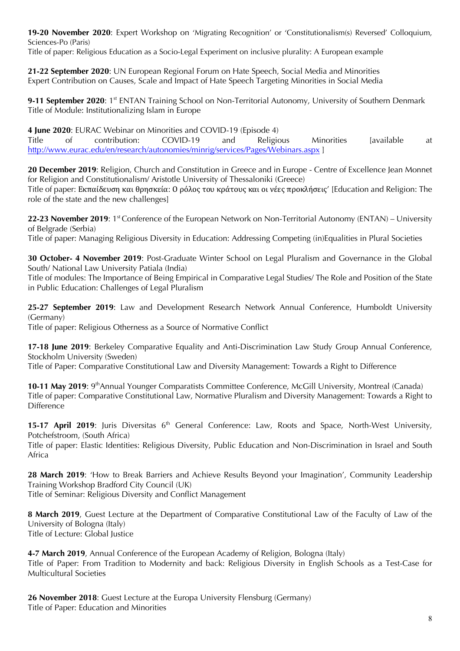**19-20 November 2020**: Expert Workshop on 'Migrating Recognition' or 'Constitutionalism(s) Reversed' Colloquium, Sciences-Po (Paris)

Title of paper: Religious Education as a Socio-Legal Experiment on inclusive plurality: A European example

**21-22 September 2020**: UN European Regional Forum on Hate Speech, Social Media and Minorities Expert Contribution on Causes, Scale and Impact of Hate Speech Targeting Minorities in Social Media

**9-11 September 2020**: 1<sup>st</sup> ENTAN Training School on Non-Territorial Autonomy, University of Southern Denmark Title of Module: Institutionalizing Islam in Europe

**4 June 2020**: EURAC Webinar on Minorities and COVID-19 (Episode 4) Title of contribution: COVID-19 and Religious Minorities [available at http://www.eurac.edu/en/research/autonomies/minrig/services/Pages/Webinars.aspx ]

**20 December 2019**: Religion, Church and Constitution in Greece and in Europe - Centre of Excellence Jean Monnet for Religion and Constitutionalism/ Aristotle University of Thessaloniki (Greece)

Title of paper: Εκπαίδευση και θρησκεία: Ο ρόλος του κράτους και οι νέες προκλήσεις' [Education and Religion: The role of the state and the new challenges]

**22-23 November 2019**: 1st Conference of the European Network on Non-Territorial Autonomy (ENTAN) – University of Belgrade (Serbia)

Title of paper: Managing Religious Diversity in Education: Addressing Competing (in)Equalities in Plural Societies

**30 October- 4 November 2019**: Post-Graduate Winter School on Legal Pluralism and Governance in the Global South/ National Law University Patiala (India)

Title of modules: The Importance of Being Empirical in Comparative Legal Studies/ The Role and Position of the State in Public Education: Challenges of Legal Pluralism

**25-27 September 2019**: Law and Development Research Network Annual Conference, Humboldt University (Germany)

Title of paper: Religious Otherness as a Source of Normative Conflict

**17-18 June 2019**: Berkeley Comparative Equality and Anti-Discrimination Law Study Group Annual Conference, Stockholm University (Sweden)

Title of Paper: Comparative Constitutional Law and Diversity Management: Towards a Right to Difference

10-11 May 2019: 9<sup>th</sup> Annual Younger Comparatists Committee Conference, McGill University, Montreal (Canada) Title of paper: Comparative Constitutional Law, Normative Pluralism and Diversity Management: Towards a Right to Difference

15-17 April 2019: Juris Diversitas 6<sup>th</sup> General Conference: Law, Roots and Space, North-West University, Potchefstroom, (South Africa)

Title of paper: Elastic Identities: Religious Diversity, Public Education and Non-Discrimination in Israel and South Africa

**28 March 2019**: 'How to Break Barriers and Achieve Results Beyond your Imagination', Community Leadership Training Workshop Bradford City Council (UK)

Title of Seminar: Religious Diversity and Conflict Management

**8 March 2019**, Guest Lecture at the Department of Comparative Constitutional Law of the Faculty of Law of the University of Bologna (Italy) Title of Lecture: Global Justice

4-7 March 2019, Annual Conference of the European Academy of Religion, Bologna (Italy) Title of Paper: From Tradition to Modernity and back: Religious Diversity in English Schools as a Test-Case for Multicultural Societies

**26 November 2018**: Guest Lecture at the Europa University Flensburg (Germany) Title of Paper: Education and Minorities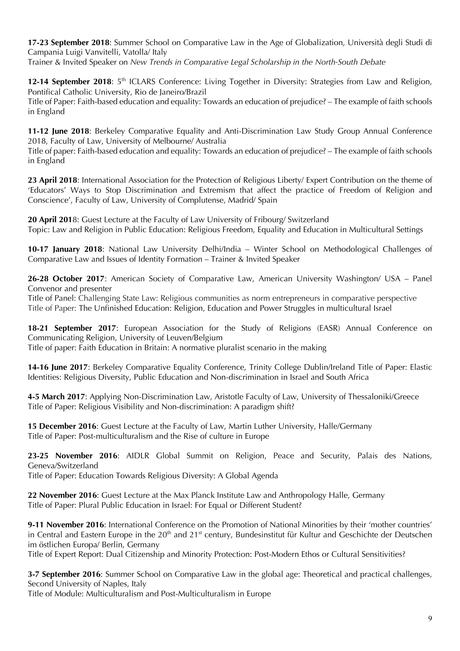**17-23 September 2018**: Summer School on Comparative Law in the Age of Globalization, Università degli Studi di Campania Luigi Vanvitelli, Vatolla/ Italy

Trainer & Invited Speaker on *New Trends in Comparative Legal Scholarship in the North-South Debate*

**12-14 September 2018**: 5<sup>th</sup> ICLARS Conference: Living Together in Diversity: Strategies from Law and Religion, Pontifical Catholic University, Rio de Janeiro/Brazil Title of Paper: Faith-based education and equality: Towards an education of prejudice? – The example of faith schools in England

**11-12 June 2018**: Berkeley Comparative Equality and Anti-Discrimination Law Study Group Annual Conference 2018, Faculty of Law, University of Melbourne/ Australia

Title of paper: Faith-based education and equality: Towards an education of prejudice? – The example of faith schools in England

**23 April 2018**: International Association for the Protection of Religious Liberty/ Expert Contribution on the theme of 'Educators' Ways to Stop Discrimination and Extremism that affect the practice of Freedom of Religion and Conscience', Faculty of Law, University of Complutense, Madrid/ Spain

**20 April 201**8: Guest Lecture at the Faculty of Law University of Fribourg/ Switzerland Topic: Law and Religion in Public Education: Religious Freedom, Equality and Education in Multicultural Settings

**10-17 January 2018**: National Law University Delhi/India – Winter School on Methodological Challenges of Comparative Law and Issues of Identity Formation – Trainer & Invited Speaker

**26-28 October 2017**: American Society of Comparative Law, American University Washington/ USA – Panel Convenor and presenter

Title of Panel: Challenging State Law: Religious communities as norm entrepreneurs in comparative perspective Title of Paper: The Unfinished Education: Religion, Education and Power Struggles in multicultural Israel

**18-21 September 2017**: European Association for the Study of Religions (EASR) Annual Conference on Communicating Religion, University of Leuven/Belgium

Title of paper: Faith Education in Britain: A normative pluralist scenario in the making

**14-16 June 2017**: Berkeley Comparative Equality Conference, Trinity College Dublin/Ireland Title of Paper: Elastic Identities: Religious Diversity, Public Education and Non-discrimination in Israel and South Africa

**4-5 March 2017**: Applying Non-Discrimination Law, Aristotle Faculty of Law, University of Thessaloniki/Greece Title of Paper: Religious Visibility and Non-discrimination: A paradigm shift?

**15 December 2016**: Guest Lecture at the Faculty of Law, Martin Luther University, Halle/Germany Title of Paper: Post-multiculturalism and the Rise of culture in Europe

**23-25 November 2016**: AIDLR Global Summit on Religion, Peace and Security, Palais des Nations, Geneva/Switzerland

Title of Paper: Education Towards Religious Diversity: A Global Agenda

**22 November 2016**: Guest Lecture at the Max Planck Institute Law and Anthropology Halle, Germany Title of Paper: Plural Public Education in Israel: For Equal or Different Student?

**9-11 November 2016**: International Conference on the Promotion of National Minorities by their 'mother countries' in Central and Eastern Europe in the 20<sup>th</sup> and 21<sup>st</sup> century, Bundesinstitut für Kultur and Geschichte der Deutschen im östlichen Europa/ Berlin, Germany

Title of Expert Report: Dual Citizenship and Minority Protection: Post-Modern Ethos or Cultural Sensitivities?

**3-7 September 2016**: Summer School on Comparative Law in the global age: Theoretical and practical challenges, Second University of Naples, Italy

Title of Module: Multiculturalism and Post-Multiculturalism in Europe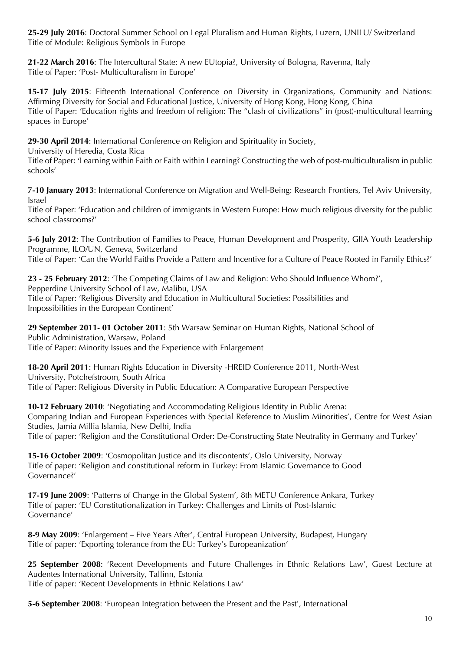**25-29 July 2016**: Doctoral Summer School on Legal Pluralism and Human Rights, Luzern, UNILU/ Switzerland Title of Module: Religious Symbols in Europe

**21-22 March 2016**: The Intercultural State: A new EUtopia?, University of Bologna, Ravenna, Italy Title of Paper: 'Post- Multiculturalism in Europe'

**15-17 July 2015**: Fifteenth International Conference on Diversity in Organizations, Community and Nations: Affirming Diversity for Social and Educational Justice, University of Hong Kong, Hong Kong, China Title of Paper: 'Education rights and freedom of religion: The "clash of civilizations" in (post)-multicultural learning spaces in Europe'

**29-30 April 2014**: International Conference on Religion and Spirituality in Society,

University of Heredia, Costa Rica

Title of Paper: 'Learning within Faith or Faith within Learning? Constructing the web of post-multiculturalism in public schools'

**7-10 January 2013**: International Conference on Migration and Well-Being: Research Frontiers, Tel Aviv University, Israel

Title of Paper: 'Education and children of immigrants in Western Europe: How much religious diversity for the public school classrooms?'

**5-6 July 2012**: The Contribution of Families to Peace, Human Development and Prosperity, GIIA Youth Leadership Programme, ILO/UN, Geneva, Switzerland

Title of Paper: 'Can the World Faiths Provide a Pattern and Incentive for a Culture of Peace Rooted in Family Ethics?'

**23 - 25 February 2012**: 'The Competing Claims of Law and Religion: Who Should Influence Whom?', Pepperdine University School of Law, Malibu, USA Title of Paper: 'Religious Diversity and Education in Multicultural Societies: Possibilities and Impossibilities in the European Continent'

**29 September 2011- 01 October 2011**: 5th Warsaw Seminar on Human Rights, National School of Public Administration, Warsaw, Poland Title of Paper: Minority Issues and the Experience with Enlargement

**18-20 April 2011**: Human Rights Education in Diversity -HREID Conference 2011, North-West University, Potchefstroom, South Africa Title of Paper: Religious Diversity in Public Education: A Comparative European Perspective

**10-12 February 2010**: 'Negotiating and Accommodating Religious Identity in Public Arena: Comparing Indian and European Experiences with Special Reference to Muslim Minorities', Centre for West Asian Studies, Jamia Millia Islamia, New Delhi, India Title of paper: 'Religion and the Constitutional Order: De-Constructing State Neutrality in Germany and Turkey'

**15-16 October 2009:** 'Cosmopolitan Justice and its discontents', Oslo University, Norway Title of paper: 'Religion and constitutional reform in Turkey: From Islamic Governance to Good Governance?'

**17-19 June 2009**: 'Patterns of Change in the Global System', 8th METU Conference Ankara, Turkey Title of paper: 'EU Constitutionalization in Turkey: Challenges and Limits of Post-Islamic Governance'

**8-9 May 2009**: 'Enlargement – Five Years After', Central European University, Budapest, Hungary Title of paper: 'Exporting tolerance from the EU: Turkey's Europeanization'

**25 September 2008**: 'Recent Developments and Future Challenges in Ethnic Relations Law', Guest Lecture at Audentes International University, Tallinn, Estonia Title of paper: 'Recent Developments in Ethnic Relations Law'

**5-6 September 2008**: 'European Integration between the Present and the Past', International